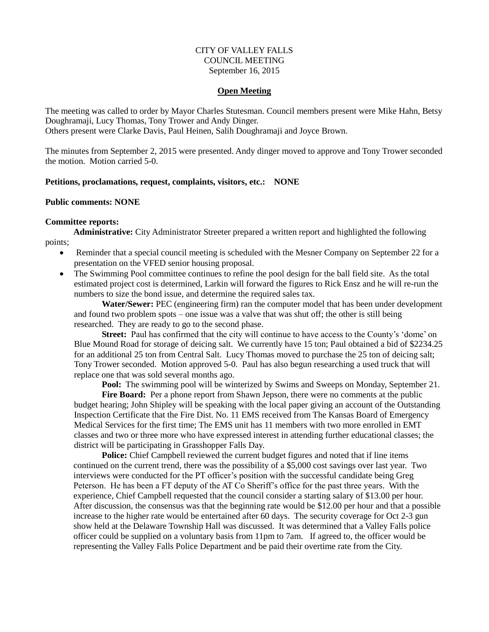# CITY OF VALLEY FALLS COUNCIL MEETING September 16, 2015

### **Open Meeting**

The meeting was called to order by Mayor Charles Stutesman. Council members present were Mike Hahn, Betsy Doughramaji, Lucy Thomas, Tony Trower and Andy Dinger.

Others present were Clarke Davis, Paul Heinen, Salih Doughramaji and Joyce Brown.

The minutes from September 2, 2015 were presented. Andy dinger moved to approve and Tony Trower seconded the motion. Motion carried 5-0.

# **Petitions, proclamations, request, complaints, visitors, etc.: NONE**

## **Public comments: NONE**

## **Committee reports:**

**Administrative:** City Administrator Streeter prepared a written report and highlighted the following points;

- Reminder that a special council meeting is scheduled with the Mesner Company on September 22 for a presentation on the VFED senior housing proposal.
- The Swimming Pool committee continues to refine the pool design for the ball field site. As the total estimated project cost is determined, Larkin will forward the figures to Rick Ensz and he will re-run the numbers to size the bond issue, and determine the required sales tax.

**Water/Sewer:** PEC (engineering firm) ran the computer model that has been under development and found two problem spots – one issue was a valve that was shut off; the other is still being researched. They are ready to go to the second phase.

**Street:** Paul has confirmed that the city will continue to have access to the County's 'dome' on Blue Mound Road for storage of deicing salt. We currently have 15 ton; Paul obtained a bid of \$2234.25 for an additional 25 ton from Central Salt. Lucy Thomas moved to purchase the 25 ton of deicing salt; Tony Trower seconded. Motion approved 5-0. Paul has also begun researching a used truck that will replace one that was sold several months ago.

**Pool:** The swimming pool will be winterized by Swims and Sweeps on Monday, September 21.

Fire Board: Per a phone report from Shawn Jepson, there were no comments at the public budget hearing; John Shipley will be speaking with the local paper giving an account of the Outstanding Inspection Certificate that the Fire Dist. No. 11 EMS received from The Kansas Board of Emergency Medical Services for the first time; The EMS unit has 11 members with two more enrolled in EMT classes and two or three more who have expressed interest in attending further educational classes; the district will be participating in Grasshopper Falls Day.

**Police:** Chief Campbell reviewed the current budget figures and noted that if line items continued on the current trend, there was the possibility of a \$5,000 cost savings over last year. Two interviews were conducted for the PT officer's position with the successful candidate being Greg Peterson. He has been a FT deputy of the AT Co Sheriff's office for the past three years. With the experience, Chief Campbell requested that the council consider a starting salary of \$13.00 per hour. After discussion, the consensus was that the beginning rate would be \$12.00 per hour and that a possible increase to the higher rate would be entertained after 60 days. The security coverage for Oct 2-3 gun show held at the Delaware Township Hall was discussed. It was determined that a Valley Falls police officer could be supplied on a voluntary basis from 11pm to 7am. If agreed to, the officer would be representing the Valley Falls Police Department and be paid their overtime rate from the City.